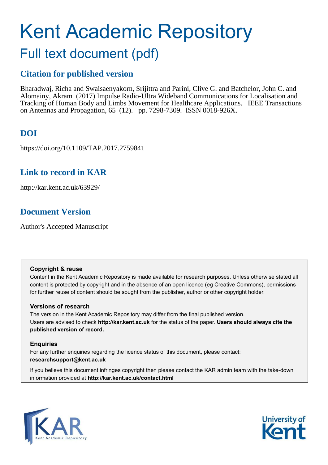# Kent Academic Repository

## Full text document (pdf)

## **Citation for published version**

Bharadwaj, Richa and Swaisaenyakorn, Srijittra and Parini, Clive G. and Batchelor, John C. and Alomainy, Akram (2017) Impulse Radio-Ultra Wideband Communications for Localisation and Tracking of Human Body and Limbs Movement for Healthcare Applications. IEEE Transactions on Antennas and Propagation, 65 (12). pp. 7298-7309. ISSN 0018-926X.

## **DOI**

https://doi.org/10.1109/TAP.2017.2759841

## **Link to record in KAR**

http://kar.kent.ac.uk/63929/

## **Document Version**

Author's Accepted Manuscript

#### **Copyright & reuse**

Content in the Kent Academic Repository is made available for research purposes. Unless otherwise stated all content is protected by copyright and in the absence of an open licence (eg Creative Commons), permissions for further reuse of content should be sought from the publisher, author or other copyright holder.

#### **Versions of research**

The version in the Kent Academic Repository may differ from the final published version. Users are advised to check **http://kar.kent.ac.uk** for the status of the paper. **Users should always cite the published version of record.**

#### **Enquiries**

For any further enquiries regarding the licence status of this document, please contact: **researchsupport@kent.ac.uk**

If you believe this document infringes copyright then please contact the KAR admin team with the take-down information provided at **http://kar.kent.ac.uk/contact.html**



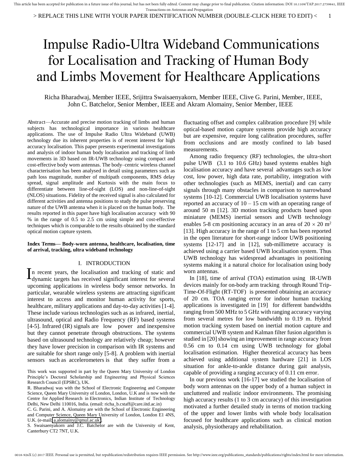# Impulse Radio-Ultra Wideband Communications for Localisation and Tracking of Human Body and Limbs Movement for Healthcare Applications

Richa Bharadwaj, Member IEEE, Srijittra Swaisaenyakorn, Member IEEE, Clive G. Parini, Member, IEEE, John C. Batchelor, Senior Member, IEEE and Akram Alomainy, Senior Member, IEEE

Abstract—Accurate and precise motion tracking of limbs and human subjects has technological importance in various healthcare applications. The use of Impulse Radio Ultra Wideband (UWB) technology due its inherent properties is of recent interest for high accuracy localisation. This paper presents experimental investigations and analysis of indoor human body localisation and tracking of limb movements in 3D based on IR-UWB technology using compact and cost-effective body worn antennas. The body–centric wireless channel characterisation has been analysed in detail using parameters such as path loss magnitude, number of multipath components, RMS delay spread, signal amplitude and Kurtosis with the main focus to differentiate between line-of-sight (LOS) and non-line-of-sight (NLOS) situations. Fidelity of the received signal is also calculated for different activities and antenna positions to study the pulse preserving nature of the UWB antenna when it is placed on the human body. The results reported in this paper have high localisation accuracy with 90 % in the range of 0.5 to 2.5 cm using simple and cost-effective techniques which is comparable to the results obtained by the standard optical motion capture system.

#### **Index Terms— Body-worn antenna, healthcare, localisation, time of arrival, tracking, ultra wideband technology**

#### I. INTRODUCTION

n recent years, the localisation and tracking of static and In recent years, the localisation and tracking of static and dynamic targets has received significant interest for several upcoming applications in wireless body sensor networks. In particular, wearable wireless systems are attracting significant interest to access and monitor human activity for sports, healthcare, military applications and day-to-day activities [1-4]. These include various technologies such as as infrared, inertial, ultrasound, optical and Radio Frequency (RF) based systems [4-5]. Infrared (IR) signals are low power and inexpensive but they cannot penetrate through obstructions. The systems based on ultrasound technology are relatively cheap; however they have lower precision in comparison with IR systems and are suitable for short range only [5-8]. A problem with inertial sensors such as accelerometers is that they suffer from a

S. Swaisaenyakorn and J.C. Batchelor are with the University of Kent, Canterbury CT2 7NT, U.K.

fluctuating offset and complex calibration procedure [9] while optical-based motion capture systems provide high accuracy but are expensive, require long calibration procedures, suffer from occlusions and are mostly confined to lab based measurements.

Among radio frequency (RF) technologies, the ultra-short pulse UWB (3.1 to 10.6 GHz) based systems enables high localisation accuracy and have several advantages such as low cost, low power, high data rate, portability, integration with other technologies (such as MEMS, inertial) and can carry signals through many obstacles in comparison to narrowband systems [10-12]. Commercial UWB localisation systems have reported an accuracy of  $10 - 15$  cm with an operating range of around 50 m [12]. 3D motion tracking products based upon miniature (MEMS) inertial sensors and UWB technology enables 5-8 cm positioning accuracy in an area of  $20 \times 20$  m<sup>2</sup> [13]. High accuracy in the range of 1 to 5 cm has been reported in the open literature for short-range indoor UWB positioning systems [12-17] and in [12], sub-millimetre accuracy is achieved using a carrier based UWB localisation system. Thus UWB technology has widespread advantages in positioning systems making it a natural choice for localisation using body worn antennas.

In [18], time of arrival (TOA) estimation using IR-UWB devices mainly for on-body arm tracking through Round Trip-Time-Of-Flight (RT-TOF) is presented obtaining an accuracy of 20 cm. TOA ranging error for indoor human tracking applications is investigated in [19] for different bandwidths ranging from 500 MHz to 5 GHz with ranging accuracy varying from several metres for low bandwidth to 0.19 m. Hybrid motion tracking system based on inertial motion capture and commercial UWB system and Kalman filter fusion algorithm is studied in [20] showing an improvement in range accuracy from 0.56 cm to 0.14 cm using UWB technology for global localisation estimation. Higher theoretical accuracy has been achieved using additional system hardware [21] in LOS situation for ankle-to-ankle distance during gait analysis, capable of providing a ranging accuracy of 0.11 cm error.

In our previous work [16-17] we studied the localisation of body worn antennas on the upper body of a human subject in uncluttered and realistic indoor environments. The promising high accuracy results (1 to 3 cm accuracy) of this investigation motivated a further detailed study in terms of motion tracking of the upper and lower limbs with whole body localisation focused for healthcare applications such as clinical motion analysis, physiotherapy and rehabilitation.

This work was supported in part by the Queen Mary University of London Principle's Doctoral Scholarship and Engineering and Physical Sciences Research Council (EPSRC), UK.

R. Bharadwaj was with the School of Electronic Engineering and Computer Science, Queen Mary University of London, London, U.K and is now with the Centre for Applied Research in Electronics, Indian Institute of Technology Delhi, New Delhi 110016, India. (email: richa\_b.cstaff@care.iitd.ac.in)

C. G. Parini, and A. Alomainy are with the School of Electronic Engineering and Computer Science, Queen Mary University of London, London E1 4NS, U.K. (e-mail[: a.alomainy@qmul.ac.uk\)](mailto:a.alomainy@qmul.ac.uk).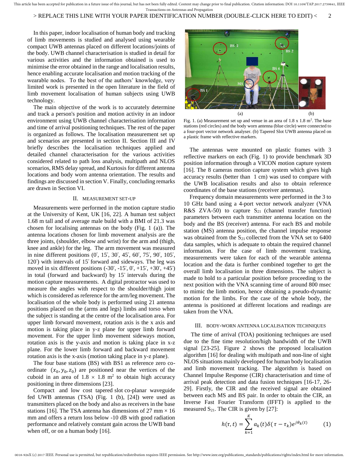#### > REPLACE THIS LINE WITH YOUR PAPER IDENTIFICATION NUMBER (DOUBLE-CLICK HERE TO EDIT) < 2

In this paper, indoor localisation of human body and tracking of limb movements is studied and analysed using wearable compact UWB antennas placed on different locations/joints of the body. UWB channel characterisation is studied in detail for various activities and the information obtained is used to minimise the error obtained in the range and localisation results, hence enabling accurate localisation and motion tracking of the wearable nodes. To the best of the authors' knowledge, very limited work is presented in the open literature in the field of limb movement localisation of human subjects using UWB technology.

The main objective of the work is to accurately determine and track a person's position and motion activity in an indoor environment using UWB channel characterisation information and time of arrival positioning techniques. The rest of the paper is organized as follows. The localisation measurement set up and scenarios are presented in section II. Section III and IV briefly describes the localisation techniques applied and detailed channel characterisation for the various activities considered related to path loss analysis, multipath and NLOS scenarios, RMS delay spread, and Kurtosis for different antenna locations and body worn antenna orientation. The results and findings are discussed in section V. Finally, concluding remarks are drawn in Section VI.

#### II. MEASUREMENT SET-UP

Measurements were performed in the motion capture studio at the University of Kent, UK [16, 22]. A human test subject 1.68 m tall and of average male build with a BMI of 21.3 was chosen for localising antennas on the body (Fig. 1 (a)). The antenna locations chosen for limb movement analysis are the three joints, (shoulder, elbow and wrist) for the arm and (thigh, knee and ankle) for the leg. The arm movement was measured in nine different positions  $(0^{\circ}, 15^{\circ}, 30^{\circ}, 45^{\circ}, 60^{\circ}, 75^{\circ}, 90^{\circ}, 105^{\circ},$ 120°) with intervals of 15° forward and sideways. The leg was moved in six different positions  $(-30^\circ, -15^\circ, 0^\circ, +15^\circ, +30^\circ, +45^\circ)$ in total (forward and backward) by  $15^\circ$  intervals during the motion capture measurements. A digital protractor was used to measure the angles with respect to the shoulder/thigh joint which is considered as reference for the arm/leg movement. The localisation of the whole body is performed using 21 antenna positions placed on the (arms and legs) limbs and torso when the subject is standing at the centre of the localisation area. For upper limb forward movement, rotation axis is the x axis and motion is taking place in y-z plane for upper limb forward movement. For the upper limb movement sideways motion, rotation axis is the y-axis and motion is taking place in x-z plane. For the lower limb forward and backward movement rotation axis is the x-axis (motion taking place in y-z plane).

The four base stations (BS) with BS1 as reference zero coordinate  $(x_0, y_0, z_0)$  are positioned near the vertices of the cuboid in an area of  $1.8 \times 1.8$  m<sup>2</sup> to obtain high accuracy positioning in three dimensions [23].

Compact and low cost tapered slot co-planar waveguide fed UWB antennas (TSA) (Fig. 1 (b), [24]) were used as transmitters placed on the body and also as receivers in the base stations [16]. The TSA antenna has dimensions of 27 mm  $\times$  16 mm and offers a return loss below -10 dB with good radiation performance and relatively constant gain across the UWB band when off, or on a human body [16].



Fig. 1. (a) Measurement set up and venue in an area of  $1.8 \times 1.8$  m<sup>2</sup>. The base stations (red circles) and the body worn antenna (blue circle) were connected to a four-port vector network analyser. (b) Tapered Slot UWB antenna placed on a plastic frame with reflective markers.

The antennas were mounted on plastic frames with 3 reflective markers on each (Fig. 1) to provide benchmark 3D position information through a VICON motion capture system [16]. The 8 cameras motion capture system which gives high accuracy results (better than 1 cm) was used to compare with the UWB localisation results and also to obtain reference coordinates of the base stations (receiver antennas).

Frequency domain measurements were performed in the 3 to 10 GHz band using a 4-port vector network analyzer (VNA R&S ZVA-50) to capture  $S_{21}$  (channel transfer function) parameters between each transmitter antenna location on the body and the BS (receiver) antenna. For each BS and mobile station (MS) antenna position, the channel impulse response was obtained from the  $S_{21}$  collected from the VNA set to 6400 data samples, which is adequate to obtain the required channel information. For the case of limb movement tracking, measurements were taken for each of the wearable antenna location and the data is further combined together to get the overall limb localisation in three dimensions. The subject is made to hold to a particular position before proceeding to the next position with the VNA scanning time of around 800 msec to mimic the limb motion, hence obtaining a pseudo-dynamic motion for the limbs. For the case of the whole body, the antenna is positioned at different locations and readings are taken from the VNA.

#### III. BODY-WORN ANTENNA LOCALISATION TECHNIQUES

 The time of arrival (TOA) positioning techniques are used due to the fine time resolution/high bandwidth of the UWB signal [23-25]. Figure 2 shows the proposed localisation algorithm [16] for dealing with multipath and non-line of sight NLOS situations mainly developed for human body localisation and limb movement tracking. The algorithm is based on Channel Impulse Response (CIR) characterisation and time of arrival peak detection and data fusion techniques [16-17, 26- 29]. Firstly, the CIR and the received signal are obtained between each MS and BS pair. In order to obtain the CIR, an Inverse Fast Fourier Transform (IFFT) is applied to the measured  $S_{21}$ . The CIR is given by [27]:

$$
h(\tau, t) = \sum_{k=1}^{K} a_k(t) \delta(\tau - \tau_k) e^{j\theta_k(t)} \qquad (1)
$$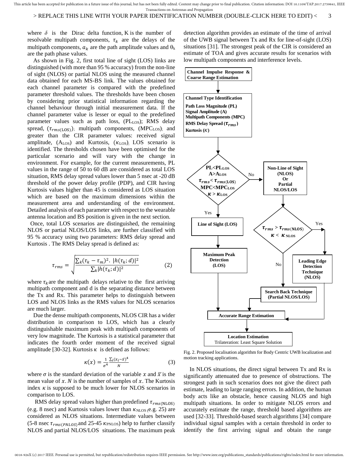#### > REPLACE THIS LINE WITH YOUR PAPER IDENTIFICATION NUMBER (DOUBLE-CLICK HERE TO EDIT) < 3

where  $\delta$  is the Dirac delta function, K is the number of resolvable multipath components,  $\tau_k$  are the delays of the multipath components,  $a_k$  are the path amplitude values and  $\theta_k$ are the path phase values.

 As shown in Fig. 2, first total line of sight (LOS) links are distinguished (with more than 95 % accuracy) from the non-line of sight (NLOS) or partial NLOS using the measured channel data obtained for each MS-BS link. The values obtained for each channel parameter is compared with the predefined parameter threshold values. The thresholds have been chosen by considering prior statistical information regarding the channel behaviour through initial measurement data. If the channel parameter value is lesser or equal to the predefined parameter values such as path loss, (PLLOS); RMS delay spread,  $(\tau_{rms(LOS)})$ ; multipath components, (MPC<sub>LOS</sub>); and greater than the CIR parameter values: received signal amplitude,  $(A<sub>LOS</sub>)$  and Kurtosis,  $(\kappa<sub>LOS</sub>)$ ; LOS scenario is identified. The thresholds chosen have been optimised for the particular scenario and will vary with the change in environment. For example, for the current measurements, PL values in the range of 50 to 60 dB are considered as total LOS situation, RMS delay spread values lower than 5 nsec at -20 dB threshold of the power delay profile (PDP), and CIR having Kurtosis values higher than 45 is considered as LOS situation which are based on the maximum dimensions within the measurement area and understanding of the environment. Detailed analysis of each parameter with respect to the wearable antenna location and BS position is given in the next section.

 Once, total LOS scenarios are distinguished, the remaining NLOS or partial NLOS/LOS links, are further classified with 95 % accuracy using two parameters: RMS delay spread and Kurtosis . The RMS Delay spread is defined as:

$$
\tau_{rms} = \sqrt{\frac{\sum_{k} (\tau_k - \tau_m)^2. \ |h(\tau_k; d)|^2}{\sum_{k} |h(\tau_k; d)|^2}}
$$
(2)

where  $\tau_k$  are the multipath delays relative to the first arriving multipath component and d is the separating distance between the Tx and Rx. This parameter helps to distinguish between LOS and NLOS links as the RMS values for NLOS scenarios are much larger.

 Due the dense multipath components, NLOS CIR has a wider distribution in comparison to LOS, which has a clearly distinguishable maximum peak with multipath components of very low magnitude. The Kurtosis is a statistical parameter that indicates the fourth order moment of the received signal amplitude [30-32]. Kurtosis  $\kappa$  is defined as follows:

$$
\kappa(x) = \frac{1}{\sigma^4} \frac{\sum_i (x_i - \bar{x})^4}{N} \tag{3}
$$

where  $\sigma$  is the standard deviation of the variable x and  $\bar{x}$  is the mean value of  $x$ . N is the number of samples of  $x$ . The Kurtosis index  $\kappa$  is supposed to be much lower for NLOS scenarios in comparison to LOS.

RMS delay spread values higher than predefined  $\tau_{rms(NLOS)}$ (e.g. 8 nsec) and Kurtosis values lower than  $K<sub>NLOS</sub>$  (e.g. 25) are considered as NLOS situations. Intermediate values between (5-8 nsec  $\tau_{rms(PNLOS)}$  and 25-45  $\kappa_{PNLOS}$ ) help to further classify NLOS and partial NLOS/LOS situations. The maximum peak

detection algorithm provides an estimate of the time of arrival of the UWB signal between Tx and Rx for line-of-sight (LOS) situations [31]. The strongest peak of the CIR is considered an estimate of TOA and gives accurate results for scenarios with low multipath components and interference levels.



Fig. 2. Proposed localisation algorithm for Body Centric UWB localization and motion tracking applications.

In NLOS situations, the direct signal between Tx and Rx is significantly attenuated due to presence of obstructions. The strongest path in such scenarios does not give the direct path estimate, leading to large ranging errors. In addition, the human body acts like an obstacle, hence causing NLOS and high multipath situations. In order to mitigate NLOS errors and accurately estimate the range, threshold based algorithms are used [32-33]. Threshold-based search algorithms [34] compare individual signal samples with a certain threshold in order to identify the first arriving signal and obtain the range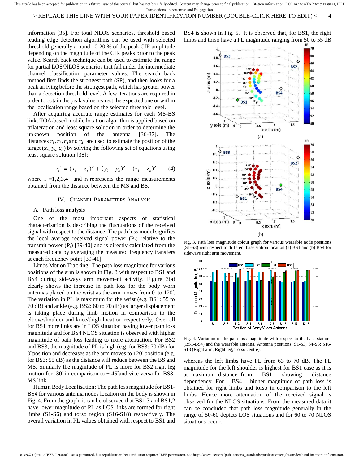information [35]. For total NLOS scenarios, threshold based leading edge detection algorithms can be used with selected threshold generally around 10-20 % of the peak CIR amplitude depending on the magnitude of the CIR peaks prior to the peak value. Search back technique can be used to estimate the range for partial LOS/NLOS scenarios that fall under the intermediate channel classification parameter values. The search back method first finds the strongest path (SP), and then looks for a peak arriving before the strongest path, which has greater power than a detection threshold level. A few iterations are required in order to obtain the peak value nearest the expected one or within the localisation range based on the selected threshold level.

After acquiring accurate range estimates for each MS-BS link, TOA-based mobile location algorithm is applied based on trilateration and least square solution in order to determine the unknown position of the antenna [36-37]. The distances  $r_1, r_2, r_3$  and  $r_4$  are used to estimate the position of the target  $(x_s, y_s, z_s)$  by solving the following set of equations using least square solution [38]:

$$
r_i^2 = (x_i - x_s)^2 + (y_i - y_s)^2 + (z_i - z_s)^2 \tag{4}
$$

where  $i = 1,2,3,4$  and  $r_i$  represents the range measurements obtained from the distance between the MS and BS.

#### IV. CHANNEL PARAMETERS ANALYSIS

#### A. Path loss analysis

One of the most important aspects of statistical characterisation is describing the fluctuations of the received signal with respect to the distance. The path loss model signifies the local average received signal power  $(P<sub>r</sub>)$  relative to the transmit power  $(P_1)$  [39-40] and is directly calculated from the measured data by averaging the measured frequency transfers at each frequency point [39-41].

Limbs Motion Tracking: The path loss magnitude for various positions of the arm is shown in Fig. 3 with respect to BS1 and BS4 during sideways arm movement activity. Figure 3(a) clearly shows the increase in path loss for the body worn antennas placed on the wrist as the arm moves from  $0^{\circ}$  to  $120^{\circ}$ . The variation in PL is maximum for the wrist (e.g. BS1: 55 to 70 dB) and ankle (e.g. BS2: 60 to 70 dB) as larger displacement is taking place during limb motion in comparison to the elbow/shoulder and knee/thigh location respectively. Over all for BS1 more links are in LOS situation having lower path loss magnitude and for BS4 NLOS situation is observed with higher magnitude of path loss leading to more attenuation. For BS2 and BS3, the magnitude of PL is high (e.g. for BS3: 70 dB) for  $0^{\circ}$  position and decreases as the arm moves to  $120^{\circ}$  position (e.g. for BS3: 55 dB) as the distance will reduce between the BS and MS. Similarly the magnitude of PL is more for BS2 right leg motion for  $-30^\circ$  in comparison to  $+45^\circ$  and vice versa for BS3-MS link.

Human Body Localisation: The path loss magnitude for BS1- BS4 for various antenna nodes location on the body is shown in Fig. 4. From the graph, it can be observed that BS1,3 and BS1,2 have lower magnitude of PL as LOS links are formed for right limbs (S1-S6) and torso region (S16-S18) respectively. The overall variation in PL values obtained with respect to BS1 and





Fig. 3. Path loss magnitude colour graph for various wearable node positions (S1-S3) with respect to different base station location (a) BS1 and (b) BS4 for sideways right arm movement.





whereas the left limbs have PL from 63 to 70 dB. The PL magnitude for the left shoulder is highest for BS1 case as it is at maximum distance from BS1 showing distance dependency. For BS4 higher magnitude of path loss is obtained for right limbs and torso in comparison to the left limbs. Hence more attenuation of the received signal is observed for the NLOS situations. From the measured data it can be concluded that path loss magnitude generally in the range of 50-60 depicts LOS situations and for 60 to 70 NLOS situations occur.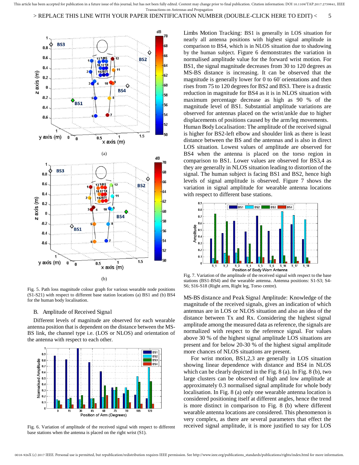

Fig. 5. Path loss magnitude colour graph for various wearable node positions (S1-S21) with respect to different base station locations (a) BS1 and (b) BS4 for the human body localisation.

#### B. Amplitude of Received Signal

Different levels of magnitude are observed for each wearable antenna position that is dependent on the distance between the MS-BS link, the channel type i.e. (LOS or NLOS) and orientation of the antenna with respect to each other.



Fig. 6. Variation of amplitude of the received signal with respect to different base stations when the antenna is placed on the right wrist (S1).

Limbs Motion Tracking: BS1 is generally in LOS situation for nearly all antenna positions with highest signal amplitude in comparison to BS4, which is in NLOS situation due to shadowing by the human subject. Figure 6 demonstrates the variation in normalised amplitude value for the forward wrist motion. For BS1, the signal magnitude decreases from 30 to 120 degrees as MS-BS distance is increasing. It can be observed that the magnitude is generally lower for  $0$  to  $60^\circ$  orientations and then rises from 75 to 120 degrees for BS2 and BS3. There is a drastic reduction in magnitude for BS4 as it is in NLOS situation with maximum percentage decrease as high as 90 % of the magnitude level of BS1. Substantial amplitude variations are observed for antennas placed on the wrist/ankle due to higher displacements of positions caused by the arm/leg movements. Human Body Localisation: The amplitude of the received signal is higher for BS2-left elbow and shoulder link as there is least distance between the BS and the antennas and is also in direct LOS situation. Lowest values of amplitude are observed for BS4 when the antenna is placed on the torso region in comparison to BS1. Lower values are observed for BS3,4 as they are generally in NLOS situation leading to distortion of the signal. The human subject is facing BS1 and BS2, hence high levels of signal amplitude is observed. Figure 7 shows the variation in signal amplitude for wearable antenna locations with respect to different base stations.



Fig. 7. Variation of the amplitude of the received signal with respect to the base stations (BS1-BS4) and the wearable antenna. Antenna positions: S1-S3; S4- S6; S16-S18 (Right arm, Right leg, Torso centre).

MS-BS distance and Peak Signal Amplitude: Knowledge of the magnitude of the received signals, gives an indication of which antennas are in LOS or NLOS situation and also an idea of the distance between Tx and Rx. Considering the highest signal amplitude among the measured data as reference, the signals are normalized with respect to the reference signal. For values above 30 % of the highest signal amplitude LOS situations are present and for below 20-30 % of the highest signal amplitude more chances of NLOS situations are present.

 For wrist motion, BS1,2,3 are generally in LOS situation showing linear dependence with distance and BS4 in NLOS which can be clearly depicted in the Fig. 8 (a). In Fig. 8 (b), two large clusters can be observed of high and low amplitude at approximately 0.3 normalised signal amplitude for whole body localisation. In Fig. 8 (a) only one wearable antenna location is considered positioning itself at different angles, hence the trend is more distinct in comparison to Fig. 8 (b) where different wearable antenna locations are considered. This phenomenon is very complex, as there are several parameters that effect the received signal amplitude, it is more justified to say for LOS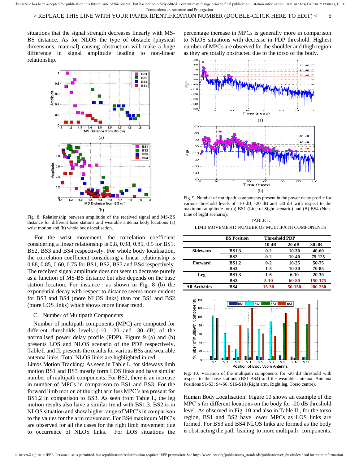situations that the signal strength decreases linearly with MS-BS distance. As for NLOS the type of obstacle (physical dimensions, material) causing obstruction will make a huge difference in signal amplitude leading to non-linear relationship.



Fig. 8. Relationship between amplitude of the received signal and MS-BS distance for different base stations and wearable antenna body locations (a) wrist motion and (b) whole body localisation.

 For the wrist movement, the correlation coefficient considering a linear relationship is 0.8, 0.98, 0.85, 0.5 for BS1, BS2, BS3 and BS4 respectively. For whole body localisation, the correlation coefficient considering a linear relationship is 0.88, 0.85, 0.60, 0.75 for BS1, BS2, BS3 and BS4 respectively. The received signal amplitude does not seem to decrease purely as a function of MS-BS distance but also depends on the base station location. For instance as shown in Fig. 8 (b) the exponential decay with respect to distance seems more evident for BS3 and BS4 (more NLOS links) than for BS1 and BS2 (more LOS links) which shows more linear trend.

#### C. Number of Multipath Components

Number of multipath components (MPC) are computed for different thresholds levels (-10, -20 and -30 dB) of the normalised power delay profile (PDP). Figure 9 (a) and (b) presents LOS and NLOS scenario of the PDP respectively. Table I. and II. presents the results for various BSs and wearable antenna links. Total NLOS links are highlighted in red.

Limbs Motion Tracking: As seen in Table I., for sideways limb motion BS1 and BS3 mostly form LOS links and have similar number of multipath components. For BS2, there is an increase in number of MPCs in comparison to BS1 and BS3. For the forward limb motion of the right arm less MPC's are present for BS1,2 in comparison to BS3. As seen from Table I., the leg motion results also have a similar trend with BS1,3. BS2 is in NLOS situation and show higher range of MPC's in comparison to the values for the arm movement. For BS4 maximum MPC's are observed for all the cases for the right limb movement due to occurrence of NLOS links. For LOS situations the

percentage increase in MPCs is generally more in comparison to NLOS situations with decrease in PDP threshold. Highest number of MPCs are observed for the shoulder and thigh region as they are totally obstructed due to the torso of the body.



Fig. 9. Number of multipath components present in the power delay profile for various threshold levels of -10 dB, -20 dB and -30 dB with respect to the maximum amplitude for (a) BS1 (Line of Sight scenario) and (B) BS4 (Non-Line of Sight scenario).

TABLE I. LIMB MOVEMENT: NUMBER OF MULTIPATH COMPONENTS

|                       | <b>BS</b> Position | <b>Threshold PDP</b> |          |          |
|-----------------------|--------------------|----------------------|----------|----------|
|                       |                    | -10 dB               | $-20$ dB | $-30$ dB |
| <b>Sideways</b>       | <b>BS1,3</b>       | $0 - 2$              | 10-30    | 40-60    |
|                       | BS2                | $0 - 2$              | 10-40    | 75-125   |
| <b>Forward</b>        | <b>BS1,2</b>       | $0 - 2$              | 10-25    | 50-75    |
|                       | BS3                | $1 - 3$              | 10-30    | 70-85    |
| Leg                   | <b>BS1.3</b>       | $1-6$                | $6-10$   | 20-30    |
|                       | BS2                | $5-10$               | 60-80    | 150-175  |
| <b>All Activities</b> | BS4                | $15 - 30$            | 50-150   | 200-250  |



Fig. 10. Variation of the multipath components for -20 dB threshold with respect to the base stations (BS1-BS4) and the wearable antenna. Antenna Positions S1-S3; S4-S6; S16-S18 (Right arm, Right leg, Torso centre).

Human Body Localisation: Figure 10 shows an example of the MPC's for different locations on the body for -20 dB threshold level. As observed in Fig. 10 and also in Table II., for the torso region, BS1 and BS2 have lower MPCs as LOS links are formed. For BS3 and BS4 NLOS links are formed as the body is obstructing the path leading to more multipath components.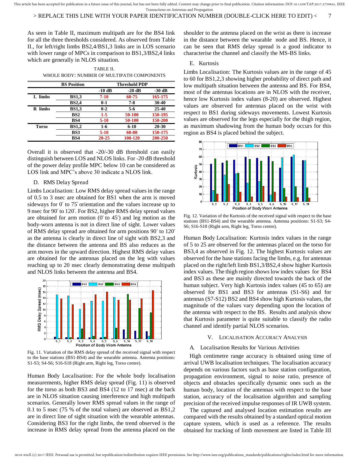#### > REPLACE THIS LINE WITH YOUR PAPER IDENTIFICATION NUMBER (DOUBLE-CLICK HERE TO EDIT) < 7

As seen in Table II, maximum multipath are for the BS4 link for all the three thresholds considered. As observed from Table II., for left/right limbs BS2,4/BS1,3 links are in LOS scenario with lower range of MPCs in comparison to BS1,3/BS2,4 links which are generally in NLOS situation.

| TABLE II.                                  |
|--------------------------------------------|
| WHOLE BODY: NUMBER OF MULTIPATH COMPONENTS |

|              | <b>BS</b> Position | Threshold PDP |          |          |
|--------------|--------------------|---------------|----------|----------|
|              |                    | $-10$ dB      | $-20$ dB | $-30$ dB |
| L limbs      | <b>BS1.3</b>       | $7 - 10$      | 60-75    | 165-175  |
|              | <b>BS2,4</b>       | $0-1$         | $7 - 8$  | 30-40    |
| R limbs      | <b>BS1.3</b>       | $0 - 2$       | $5-6$    | 25-40    |
|              | BS <sub>2</sub>    | $1-5$         | 50-100   | 150-195  |
|              | BS4                | $5-10$        | 50-100   | 150-200  |
| <b>Torso</b> | <b>BS1,2</b>       | $1-6$         | $6-10$   | 20-30    |
|              | BS3                | $5-10$        | 60-80    | 150-175  |
|              | BS4                | $20 - 25$     | 100-120  | 200-250  |

Overall it is observed that -20/-30 dB threshold can easily distinguish between LOS and NLOS links. For -20 dB threshold of the power delay profile MPC below 10 can be considered as LOS link and MPC's above 30 indicate a NLOS link.

#### D. RMS Delay Spread

Limbs Localisation: Low RMS delay spread values in the range of 0.5 to 3 nsec are obtained for BS1 when the arm is moved sideways for  $0^\circ$  to  $75^\circ$  orientation and the values increase up to 9 nsec for 90° to 120°. For BS2, higher RMS delay spread values are obtained for arm motion  $(0^{\circ}$  to  $45^{\circ})$  and leg motion as the body-worn antenna is not in direct line of sight. Lower values of RMS delay spread are obtained for arm positions 90° to 120° as the antenna is clearly in direct line of sight with BS2,3 and the distance between the antenna and BS also reduces as the arm moves in the upward direction. Highest RMS delay values are obtained for the antennas placed on the leg with values reaching up to 20 nsec clearly demonstrating dense multipath and NLOS links between the antenna and BS4.



Fig. 11. Variation of the RMS delay spread of the received signal with respect to the base stations (BS1-BS4) and the wearable antenna. Antenna positions: S1-S3; S4-S6; S16-S18 (Right arm, Right leg, Torso centre).

Human Body Localisation: For the whole body localisation measurements, higher RMS delay spread (Fig. 11) is observed for the torso as both BS3 and BS4 (12 to 17 nsec) at the back are in NLOS situation causing interference and high multipath scenarios. Generally lower RMS spread values in the range of 0.1 to 5 nsec (75 % of the total values) are observed as BS1,2 are in direct line of sight situation with the wearable antennas. Considering BS3 for the right limbs, the trend observed is the increase in RMS delay spread from the antenna placed on the

shoulder to the antenna placed on the wrist as there is increase in the distance between the wearable node and BS. Hence, it can be seen that RMS delay spread is a good indicator to characterise the channel and classify the MS-BS links.

#### E. Kurtosis

Limbs Localisation: The Kurtosis values are in the range of 45 to 60 for BS1,2,3 showing higher probability of direct path and low multipath situation between the antenna and BS. For BS4, most of the antennas locations are in NLOS with the receiver, hence low Kurtosis index values (8-20) are observed. Highest values are observed for antennas placed on the wrist with respect to BS1 during sideways movements. Lowest Kurtosis values are observed for the legs especially for the thigh region, as maximum shadowing from the human body occurs for this region as BS4 is placed behind the subject.



Fig. 12. Variation of the Kurtosis of the received signal with respect to the base stations (BS1-BS4) and the wearable antenna. Antenna positions: S1-S3; S4- S6; S16-S18 (Right arm, Right leg, Torso centre).

Human Body Localisation: Kurtosis index values in the range of 5 to 25 are observed for the antennas placed on the torso for BS3,4 as observed in Fig. 12. The highest Kurtosis values are observed for the base stations facing the limbs, e.g. for antennas placed on the right/left limb BS1,3/BS2,4 show higher Kurtosis index values. The thigh region shows low index values for BS4 and BS3 as these are mainly directed towards the back of the human subject. Very high Kurtosis index values (45 to 65) are observed for BS1 and BS3 for antennas (S1-S6) and for antennas (S7-S12) BS2 and BS4 show high Kurtosis values, the magnitude of the values vary depending upon the location of the antenna with respect to the BS. Results and analysis show that Kurtosis parameter is quite suitable to classify the radio channel and identify partial NLOS scenarios.

#### V. LOCALISATION ACCURACY ANALYSIS

#### A. Localisation Results for Various Activities

High centimetre range accuracy is obtained using time of arrival UWB localisation techniques. The localisation accuracy depends on various factors such as base station configuration, propagation environment, signal to noise ratio, presence of objects and obstacles specifically dynamic ones such as the human body, location of the antennas with respect to the base station, accuracy of the localisation algorithm and sampling precision of the received impulse responses of IR UWB system.

The captured and analysed location estimation results are compared with the results obtained by a standard optical motion capture system, which is used as a reference. The results obtained for tracking of limb movement are listed in Table III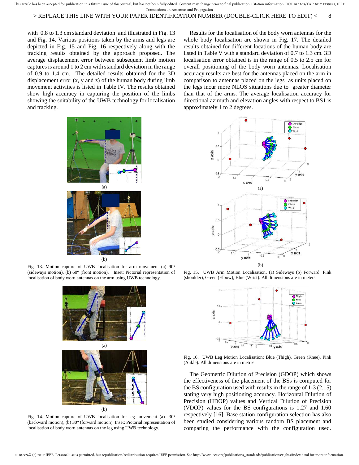#### > REPLACE THIS LINE WITH YOUR PAPER IDENTIFICATION NUMBER (DOUBLE-CLICK HERE TO EDIT) < 8

with 0.8 to 1.3 cm standard deviation and illustrated in Fig. 13 and Fig. 14. Various positions taken by the arms and legs are depicted in Fig. 15 and Fig. 16 respectively along with the tracking results obtained by the approach proposed. The average displacement error between subsequent limb motion captures is around 1 to 2 cm with standard deviation in the range of 0.9 to 1.4 cm. The detailed results obtained for the 3D displacement error (x, y and z) of the human body during limb movement activities is listed in Table IV. The results obtained show high accuracy in capturing the position of the limbs showing the suitability of the UWB technology for localisation and tracking.



Fig. 13. Motion capture of UWB localisation for arm movement (a) 90° (sideways motion), (b)  $60^{\circ}$  (front motion). Inset: Pictorial representation of localisation of body worn antennas on the arm using UWB technology.



Fig. 14. Motion capture of UWB localisation for leg movement (a) -30 $^{\circ}$ (backward motion), (b) 30° (forward motion). Inset: Pictorial representation of localisation of body worn antennas on the leg using UWB technology.

Results for the localisation of the body worn antennas for the whole body localisation are shown in Fig. 17. The detailed results obtained for different locations of the human body are listed in Table V with a standard deviation of 0.7 to 1.3 cm. 3D localisation error obtained is in the range of 0.5 to 2.5 cm for overall positioning of the body worn antennas. Localisation accuracy results are best for the antennas placed on the arm in comparison to antennas placed on the legs as units placed on the legs incur more NLOS situations due to greater diameter than that of the arms. The average localisation accuracy for directional azimuth and elevation angles with respect to BS1 is approximately 1 to 2 degrees.



Fig. 15. UWB Arm Motion Localisation. (a) Sideways (b) Forward. Pink (shoulder), Green (Elbow), Blue (Wrist). All dimensions are in meters.



Fig. 16. UWB Leg Motion Localisation: Blue (Thigh), Green (Knee), Pink (Ankle). All dimensions are in metres.

The Geometric Dilution of Precision (GDOP) which shows the effectiveness of the placement of the BSs is computed for the BS configuration used with results in the range of 1-3 (2.15) stating very high positioning accuracy. Horizontal Dilution of Precision (HDOP) values and Vertical Dilution of Precision (VDOP) values for the BS configurations is 1.27 and 1.60 respectively [16]. Base station configuration selection has also been studied considering various random BS placement and comparing the performance with the configuration used.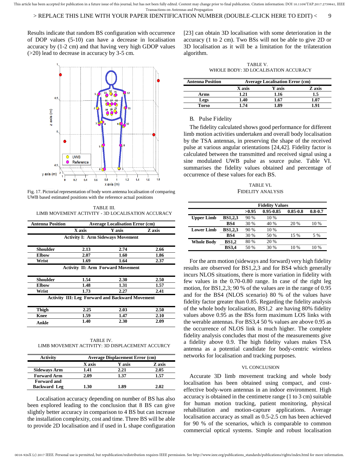#### > REPLACE THIS LINE WITH YOUR PAPER IDENTIFICATION NUMBER (DOUBLE-CLICK HERE TO EDIT) < 9

Results indicate that random BS configuration with occurrence of DOP values (5-10) can have a decrease in localisation accuracy by (1-2 cm) and that having very high GDOP values (>20) lead to decrease in accuracy by 3-5 cm.



Fig. 17. Pictorial representation of body worn antenna localisation of comparing UWB based estimated positions with the reference actual positions

TABLE III. LIMB MOVEMENT ACTIVITY - 3D LOCALISATION ACCURACY

| <b>Antenna Position</b> |        | <b>Average Localisation Error (cm)</b>                 |        |
|-------------------------|--------|--------------------------------------------------------|--------|
|                         | X axis | <b>Y</b> axis                                          | Z axis |
|                         |        | <b>Activity I: Arm Sideways Movement</b>               |        |
| <b>Shoulder</b>         | 2.13   | 2.74                                                   | 2.66   |
| <b>Elbow</b>            | 2.07   | 1.60                                                   | 1.86   |
| Wrist                   | 1.69   | 1.64                                                   | 2.37   |
|                         |        | <b>Activity II: Arm Forward Movement</b>               |        |
| <b>Shoulder</b>         | 1.54   | 2.30                                                   | 2.50   |
| <b>Elbow</b>            | 1.48   | 1.31                                                   | 1.57   |
| Wrist                   | 1.73   | 2.27                                                   | 2.41   |
|                         |        | <b>Activity III: Leg Forward and Backward Movement</b> |        |
| Thigh                   | 2.25   | 2.03                                                   | 2.50   |
| 1.59<br>Knee            |        | 1.47                                                   | 2.10   |
| Ankle                   | 1.40   | 2.30                                                   | 2.09   |
|                         |        |                                                        |        |
|                         |        | TABLE IV.                                              |        |

LIMB MOVEMENT ACTIVITY: 3D DISPLACEMENT ACCURCY

| <b>Activity</b>     | <b>Average Displacement Error (cm)</b> |        |        |  |
|---------------------|----------------------------------------|--------|--------|--|
|                     | X axis                                 | Y axis | Z axis |  |
| <b>Sideways Arm</b> | 1.41                                   | 2.21   | 2.05   |  |
| <b>Forward Arm</b>  | 2.09                                   | 1.37   | 1.57   |  |
| <b>Forward and</b>  |                                        |        |        |  |
| <b>Backward Leg</b> | 1.30                                   | 1.89   | 2.02   |  |

 Localisation accuracy depending on number of BS has also been explored leading to the conclusion that 8 BS can give slightly better accuracy in comparison to 4 BS but can increase the installation complexity, cost and time. Three BS will be able to provide 2D localisation and if used in L shape configuration

[23] can obtain 3D localisation with some deterioration in the accuracy (1 to 2 cm). Two BSs will not be able to give 2D or 3D localisation as it will be a limitation for the trilateration algorithm.

TABLE V. WHOLE BODY: 3D LOCALISATION ACCURACY

| <b>Antenna Position</b> | <b>Average Localisation Error (cm)</b> |        |        |  |
|-------------------------|----------------------------------------|--------|--------|--|
|                         | X axis                                 | Y axis | Z axis |  |
| Arms                    | 1.21                                   | 1.16   | 1.5    |  |
| Legs                    | 1.40                                   | 1.67   | .07    |  |
| Torso                   | 74                                     | -89    |        |  |

#### B. Pulse Fidelity

The fidelity calculated shows good performance for different limb motion activities undertaken and overall body localisation by the TSA antennas, in preserving the shape of the received pulse at various angular orientations [24,42]. Fidelity factor is calculated between the transmitted and received signal using a sine modulated UWB pulse as source pulse. Table VI. summarises the fidelity values obtained and percentage of occurrence of these values for each BS.

#### TABLE VI. FIDELITY ANALYSIS

|                   | <b>Fidelity Values</b> |       |           |              |             |
|-------------------|------------------------|-------|-----------|--------------|-------------|
|                   |                        | >0.95 | 0.95-0.85 | $0.85 - 0.8$ | $0.8 - 0.7$ |
| <b>Upper Limb</b> | <b>BS1,2,3</b>         | 90%   | 10 %      |              |             |
|                   | BS4                    | 30 %  | 40 %      | 20 %         | 10 %        |
| <b>Lower Limb</b> | <b>BS1,2,3</b>         | 90%   | 10 %      |              |             |
|                   | BS4                    | 30 %  | 50 %      | 15 %         | 5 %         |
| <b>Whole Body</b> | <b>BS1,2</b>           | 80 %  | 20 %      |              |             |
|                   | <b>BS3,4</b>           | 50 %  | 30 %      | 10 %         | 10 %        |

For the arm motion (sideways and forward) very high fidelity results are observed for BS1,2,3 and for BS4 which generally incurs NLOS situations, there is more variation in fidelity with few values in the 0.70-0.80 range. In case of the right leg motion, for BS1,2,3; 90 % of the values are in the range of 0.95 and for the BS4 (NLOS scenario) 80 % of the values have fidelity factor greater than 0.85. Regarding the fidelity analysis of the whole body localisation, BS1,2 are having 80% fidelity values above 0.95 as the BSs form maximum LOS links with the werable antennas. For BS3,4 50 % values are above 0.95 as the occurrence of NLOS link is much higher. The complete fidelity analysis concludes that most of the measurements give a fidelity above 0.9. The high fidelity values makes TSA antenna as a potential candidate for body-centric wireless networks for localisation and tracking purposes.

#### VI. CONCLUSION

Accurate 3D limb movement tracking and whole body localisation has been obtained using compact, and costeffective body-worn antennas in an indoor environment. High accuracy is obtained in the centimetre range (1 to 3 cm) suitable for human motion tracking, patient monitoring, physical rehabilitation and motion-capture applications. Average localisation accuracy as small as 0.5-2.5 cm has been achieved for 90 % of the scenarios, which is comparable to common commercial optical systems. Simple and robust localisation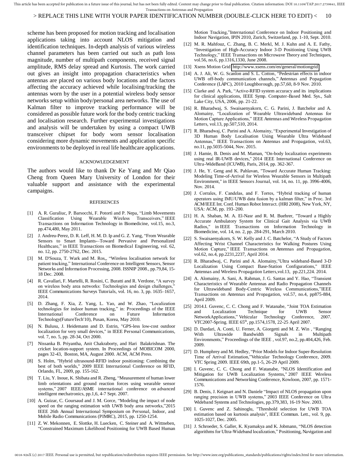#### > REPLACE THIS LINE WITH YOUR PAPER IDENTIFICATION NUMBER (DOUBLE-CLICK HERE TO EDIT) < 10

scheme has been proposed for motion tracking and localisation applications taking into account NLOS mitigation and identification techniques. In-depth analysis of various wireless channel parameters has been carried out such as path loss magnitude, number of multipath components, received signal amplitude, RMS delay spread and Kurtosis. The work carried out gives an insight into propagation characteristics when antennas are placed on various body locations and the factors affecting the accuracy achieved while localising/tracking the antennas worn by the user in a potential wireless body sensor networks setup within body/personal area networks. The use of Kalman filter to improve tracking performance will be considered as possible future work for the body centric tracking and localisation research. Further experimental investigations and analysis will be undertaken by using a compact UWB transceiver chipset for body worn sensor localisation considering more dynamic movements and application specific environments to be deployed in real life healthcare applications.

#### ACKNOWLEDGEMENT

The authors would like to thank Dr Ke Yang and Mr Qiao Cheng from Queen Mary University of London for their valuable support and assistance with the experimental campaigns.

#### REFERENCES

- [1] A. R. Guraliuc, P. Barsocchi, F. Potortì and P. Nepa, "Limb Movements Classification Using Wearable Wireless Transceivers," IEEE Transactions on Information Technology in Biomedicine, vol.15, no.3, pp.474,480, May 2011.
- [2] J. Andreu-Perez, D. R. Leff, H. M. D. Ip and G. Z. Yang, "From Wearable Sensors to Smart Implants-–Toward Pervasive and Personalized Healthcare," in IEEE Transactions on Biomedical Engineering, vol. 62, no. 12, pp. 2750-2762, Dec. 2015.
- [3] M. D'Souza, T. Wark and M. Ros,, "Wireless localisation network for patient tracking," International Conference on Intelligent Sensors, Sensor Networks and Information Processing, 2008. ISSNIP 2008., pp.79,84, 15- 18 Dec. 2008.
- [4] R. Cavallari, F. Martelli, R. Rosini, C. Buratti and R. Verdone, "A survey on wireless body area networks: Technologies and design challenges,' IEEE Communications Surveys Tutorials, vol. 16, no. 3, pp. 1635–1657, 2014.
- [5] D. Zhang, F. Xia, Z. Yang, L. Yao, and W. Zhao, "Localization technologies for indoor human tracking," in: Proceedings of the IEEE International Conference on Future Information Technology(FutureTech'10), Pusan, Korea, May 2010.
- [6] N. Bulusu, J. Heidemann and D. Estrin, "GPS-less low-cost outdoor localization for very small devices," in IEEE Personal Communications, vol. 7, no. 5, pp. 28-34, Oct 2000.
- [7] Nissanka B. Priyantha, Anit Chakraborty, and Hari Balakrishnan. The cricket location-support system. In Proceedings of MOBICOM 2000, pages 32-43, Boston, MA, August 2000. ACM, ACM Press.
- [8] S. Holm, "Hybrid ultrasound-RFID indoor positioning: Combining the best of both worlds," 2009 IEEE International Conference on RFID, Orlando, FL, 2009, pp. 155-162.
- [9] T. Liu, Y. Inoue, K. Shibata and R. Zheng, "Measurement of human lower limb orientations and ground reaction forces using wearable sensor systems," 2007 IEEE/ASME international conference on advanced intelligent mechatronics, pp.1,6, 4-7 Sept. 2007.
- [10] A. Guizar, C. Goursaud and J. M. Gorce, "Modeling the impact of node speed on the ranging estimation with UWB body area networks,"2015 IEEE 26th Annual International Symposium on Personal, Indoor, and Mobile Radio Communications (PIMRC), 2015, pp. 1250-1254.
- [11] Z. W. Mekonnen, E. Slottke, H. Luecken, C. Steiner and A. Wittneben, "Constrained Maximum Likelihood Positioning for UWB Based Human

Motion Tracking,"International Conference on Indoor Positioning and Indoor Navigation, IPIN 2010, Zurich, Switzerland, pp. 1-10, Sept. 2010.

- [12] M. R. Mahfouz, C. Zhang, B. C. Merkl, M. J. Kuhn and A. E. Fathy, "Investigation of High-Accuracy Indoor 3-D Positioning Using UWB Technology," IEEE Transactions on Microwave Theory and Techniques, vol.56, no.6, pp.1316,1330, June 2008.
- [13] Xsens Motion Grid<http://www.xsens.com/en/general/motiongrid>
- [14] A. J. Ali, W. G. Scanlon and S. L. Cotton, "Pedestrian effects in indoor UWB off-body communication channels," Antennas and Popagation Conference (LAPC), 2010 Loughborough, pp.57,60, 8-9 Nov. 2010.
- [15] Clarke and A. Park, "Active-RFID system accuracy and its implications for clinical applications, IEEE Symp. Computer-Based Med. Sys., Salt Lake City, USA, 2006, pp. 21-22.
- [16] R. Bharadwaj, S. Swaisaenyakorn, C. G. Parini, J. Batchelor and A. Alomainy, "Localization of Wearable Ultrawideband Antennas for Motion Capture Applications," IEEE Antennas and Wireless Propagation Letters, vol.13, pp.507,510, 2014.
- [17] R. Bharadwaj, C. Parini and A. Alomainy, "Experimental Investigation of 3D Human Body Localisation Using Wearable Ultra Wideband Antennas," IEEE Transactions on Antennas and Propagation, vol.63, no.11, pp.5035-5044, Nov. 2015.
- [18] J. Hamie, B. Denis and M. Maman, "On-body localization experiments using real IR-UWB devices," 2014 IEEE International Conference on Ultra-WideBand (ICUWB), Paris, 2014, pp. 362-367.
- [19] J. He, Y. Geng and K. Pahlavan, "Toward Accurate Human Tracking: Modeling Time-of-Arrival for Wireless Wearable Sensors in Multipath Environment," in IEEE Sensors Journal, vol. 14, no. 11, pp. 3996-4006, Nov. 2014.
- [20] J. Corrales, F. Candelas, and F. Torres, "Hybrid tracking of human operators using IMU/UWB data fusion by a kalman filter," in Proc. 3rd ACM/IEEE Int. Conf. Human Robot Interact. (HRI 2008), New York, NY, USA: ACM, pp. 193–200.
- [21] H. A. Shaban, M. A. El-Nasr and R. M. Buehrer, "Toward a Highly Accurate Ambulatory System for Clinical Gait Analysis via UWB Radios," in IEEE Transactions on Information Technology in Biomedicine, vol. 14, no. 2, pp. 284-291, March 2010.
- [22] S. Swaisaenyakorn, S. W. Kelly and J. C. Batchelor, "A Study of Factors Affecting Wrist Channel Characteristics for Walking Postures Using Motion Capture," IEEE Transactions on Antennas and Propagation, vol.62, no.4, pp.2231,2237, April 2014.
- [23] R. Bharadwaj, C. Parini and A. Alomainy,"Ultra wideband-Based 3-D Localization Using Compact Base-Station Configurations," IEEE Antennas and Wireless Propagation Letters,vol.13, pp.221,224. 2014.
- [24] A. Alomainy, A. Sani, A. Rahman, J. G. Santas and Y. Hao, "Transient Characteristics of Wearable Antennas and Radio Propagation Channels for Ultrawideband Body-Centric Wireless Communications,"IEEE Transactions on Antennas and Propagation, vol.57, no.4, pp875-884, April 2009.
- [25] 2014.I. Guvenc, C. C. Chong and F. Watanabe, "Joint TOA Estimation and Localization Technique for UWB Sensor NetworkApplications," Vehicular Technology Conference, 2007. VTC2007-Spring. IEEE 65th, pp.1574,1578, 22-25 April 2007.
- [26] D. Dardari, A. Conti, U. Ferner, A. Giorgetti and M. Z. Win , "Ranging With Ultrawide Bandwidth Signals in Multipath Environments," Proceedings of the IEEE , vol.97, no.2, pp.404,426, Feb. 2009.
- [27] D. Humphrey and M. Hedley, "Prior Models for Indoor Super-Resolution Time of Arrival Estimation,"Vehicular Technology Conference, 2009. VTC Spring 2009. IEEE 69th, pp.1-5, 26-29 April 2009.
- [28] I. Guvenc, C. C. Chong and F. Watanabe, "NLOS Identification and Mitigation for UWB Localization Systems," 2007 IEEE Wireless Communications and Networking Conference, Kowloon, 2007, pp. 1571- 1576.
- [29] B. Denis, J. Keignart and N. Daniele "Impact of NLOS propagation upon ranging precision in UWB systems," 2003 IEEE Conference on Ultra Wideband Systems and Technologies, pp.379,383, 16-19 Nov. 2003.
- [30] I. Guvenc and Z. Sahinoglu, "Threshold selection for UWB TOA estimation based on kurtosis analysis", IEEE Commun. Lett., vol. 9, pp. 1025-1027, Dec. 2005.
- [31] J. Schroeder, S. Galler, K. Kyamakya and K. Jobmann, "NLOS detection algorithms for Ultra-Wideband localization," Positioning, Navigation and